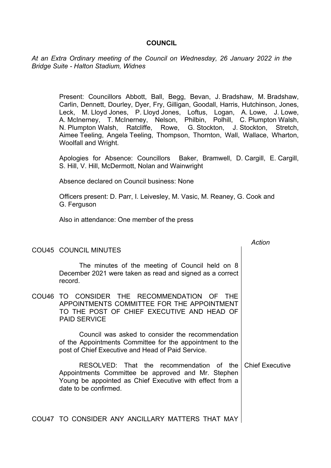## **COUNCIL**

*At an Extra Ordinary meeting of the Council on Wednesday, 26 January 2022 in the Bridge Suite - Halton Stadium, Widnes*

> Present: Councillors Abbott, Ball, Begg, Bevan, J. Bradshaw, M. Bradshaw, Carlin, Dennett, Dourley, Dyer, Fry, Gilligan, Goodall, Harris, Hutchinson, Jones, Leck, M. Lloyd Jones, P. Lloyd Jones, Loftus, Logan, A. Lowe, J. Lowe, A. McInerney, T. McInerney, Nelson, Philbin, Polhill, C. Plumpton Walsh, N. Plumpton Walsh, Ratcliffe, Rowe, G. Stockton, J. Stockton, Stretch, Aimee Teeling, Angela Teeling, Thompson, Thornton, Wall, Wallace, Wharton, Woolfall and Wright.

> Apologies for Absence: Councillors Baker, Bramwell, D. Cargill, E. Cargill, S. Hill, V. Hill, McDermott, Nolan and Wainwright

Absence declared on Council business: None

Officers present: D. Parr, I. Leivesley, M. Vasic, M. Reaney, G. Cook and G. Ferguson

Also in attendance: One member of the press

|                                                                                                                                                                                     | Action                 |
|-------------------------------------------------------------------------------------------------------------------------------------------------------------------------------------|------------------------|
| COU45 COUNCIL MINUTES                                                                                                                                                               |                        |
| The minutes of the meeting of Council held on 8<br>December 2021 were taken as read and signed as a correct<br>record.                                                              |                        |
| COU46 TO CONSIDER THE RECOMMENDATION OF THE<br>APPOINTMENTS COMMITTEE FOR THE APPOINTMENT<br>TO THE POST OF CHIEF EXECUTIVE AND HEAD OF<br><b>PAID SERVICE</b>                      |                        |
| Council was asked to consider the recommendation<br>of the Appointments Committee for the appointment to the<br>post of Chief Executive and Head of Paid Service.                   |                        |
| RESOLVED: That the recommendation of the<br>Appointments Committee be approved and Mr. Stephen<br>Young be appointed as Chief Executive with effect from a<br>date to be confirmed. | <b>Chief Executive</b> |
| COU47 TO CONSIDER ANY ANCILLARY MATTERS THAT MAY                                                                                                                                    |                        |